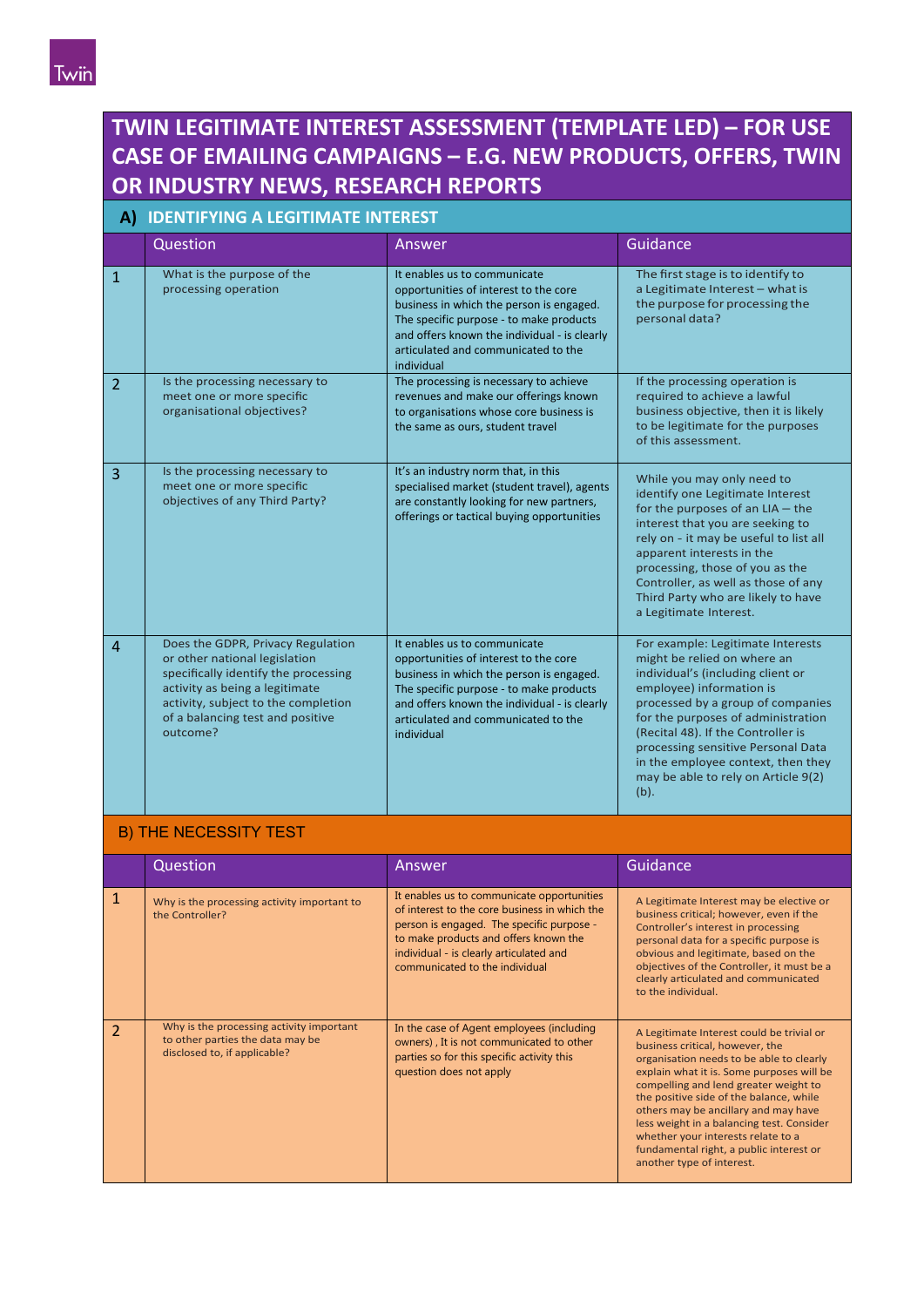# **TWIN LEGITIMATE INTEREST ASSESSMENT (TEMPLATE LED) – FOR USE CASE OF EMAILING CAMPAIGNS – E.G. NEW PRODUCTS, OFFERS, TWIN OR INDUSTRY NEWS, RESEARCH REPORTS**

## **A) IDENTIFYING A LEGITIMATE INTEREST**

|                | Question                                                                                                                                                                                                                            | Answer                                                                                                                                                                                                                                                            | Guidance                                                                                                                                                                                                                                                                                                                                                                      |
|----------------|-------------------------------------------------------------------------------------------------------------------------------------------------------------------------------------------------------------------------------------|-------------------------------------------------------------------------------------------------------------------------------------------------------------------------------------------------------------------------------------------------------------------|-------------------------------------------------------------------------------------------------------------------------------------------------------------------------------------------------------------------------------------------------------------------------------------------------------------------------------------------------------------------------------|
| $\mathbf{1}$   | What is the purpose of the<br>processing operation                                                                                                                                                                                  | It enables us to communicate<br>opportunities of interest to the core<br>business in which the person is engaged.<br>The specific purpose - to make products<br>and offers known the individual - is clearly<br>articulated and communicated to the<br>individual | The first stage is to identify to<br>a Legitimate Interest - what is<br>the purpose for processing the<br>personal data?                                                                                                                                                                                                                                                      |
| 2              | Is the processing necessary to<br>meet one or more specific<br>organisational objectives?                                                                                                                                           | The processing is necessary to achieve<br>revenues and make our offerings known<br>to organisations whose core business is<br>the same as ours, student travel                                                                                                    | If the processing operation is<br>required to achieve a lawful<br>business objective, then it is likely<br>to be legitimate for the purposes<br>of this assessment.                                                                                                                                                                                                           |
| 3              | Is the processing necessary to<br>meet one or more specific<br>objectives of any Third Party?                                                                                                                                       | It's an industry norm that, in this<br>specialised market (student travel), agents<br>are constantly looking for new partners,<br>offerings or tactical buying opportunities                                                                                      | While you may only need to<br>identify one Legitimate Interest<br>for the purposes of an $LIA - the$<br>interest that you are seeking to<br>rely on - it may be useful to list all<br>apparent interests in the<br>processing, those of you as the<br>Controller, as well as those of any<br>Third Party who are likely to have<br>a Legitimate Interest.                     |
| $\overline{4}$ | Does the GDPR, Privacy Regulation<br>or other national legislation<br>specifically identify the processing<br>activity as being a legitimate<br>activity, subject to the completion<br>of a balancing test and positive<br>outcome? | It enables us to communicate<br>opportunities of interest to the core<br>business in which the person is engaged.<br>The specific purpose - to make products<br>and offers known the individual - is clearly<br>articulated and communicated to the<br>individual | For example: Legitimate Interests<br>might be relied on where an<br>individual's (including client or<br>employee) information is<br>processed by a group of companies<br>for the purposes of administration<br>(Recital 48). If the Controller is<br>processing sensitive Personal Data<br>in the employee context, then they<br>may be able to rely on Article 9(2)<br>(b). |

### B) THE NECESSITY TEST

|                | Question                                                                                                     | Answer                                                                                                                                                                                                                                                         | Guidance                                                                                                                                                                                                                                                                                                                                                                                                                                                     |  |
|----------------|--------------------------------------------------------------------------------------------------------------|----------------------------------------------------------------------------------------------------------------------------------------------------------------------------------------------------------------------------------------------------------------|--------------------------------------------------------------------------------------------------------------------------------------------------------------------------------------------------------------------------------------------------------------------------------------------------------------------------------------------------------------------------------------------------------------------------------------------------------------|--|
| $\mathbf{1}$   | Why is the processing activity important to<br>the Controller?                                               | It enables us to communicate opportunities<br>of interest to the core business in which the<br>person is engaged. The specific purpose -<br>to make products and offers known the<br>individual - is clearly articulated and<br>communicated to the individual | A Legitimate Interest may be elective or<br>business critical; however, even if the<br>Controller's interest in processing<br>personal data for a specific purpose is<br>obvious and legitimate, based on the<br>objectives of the Controller, it must be a<br>clearly articulated and communicated<br>to the individual.                                                                                                                                    |  |
| $\overline{2}$ | Why is the processing activity important<br>to other parties the data may be<br>disclosed to, if applicable? | In the case of Agent employees (including<br>owners), It is not communicated to other<br>parties so for this specific activity this<br>question does not apply                                                                                                 | A Legitimate Interest could be trivial or<br>business critical, however, the<br>organisation needs to be able to clearly<br>explain what it is. Some purposes will be<br>compelling and lend greater weight to<br>the positive side of the balance, while<br>others may be ancillary and may have<br>less weight in a balancing test. Consider<br>whether your interests relate to a<br>fundamental right, a public interest or<br>another type of interest. |  |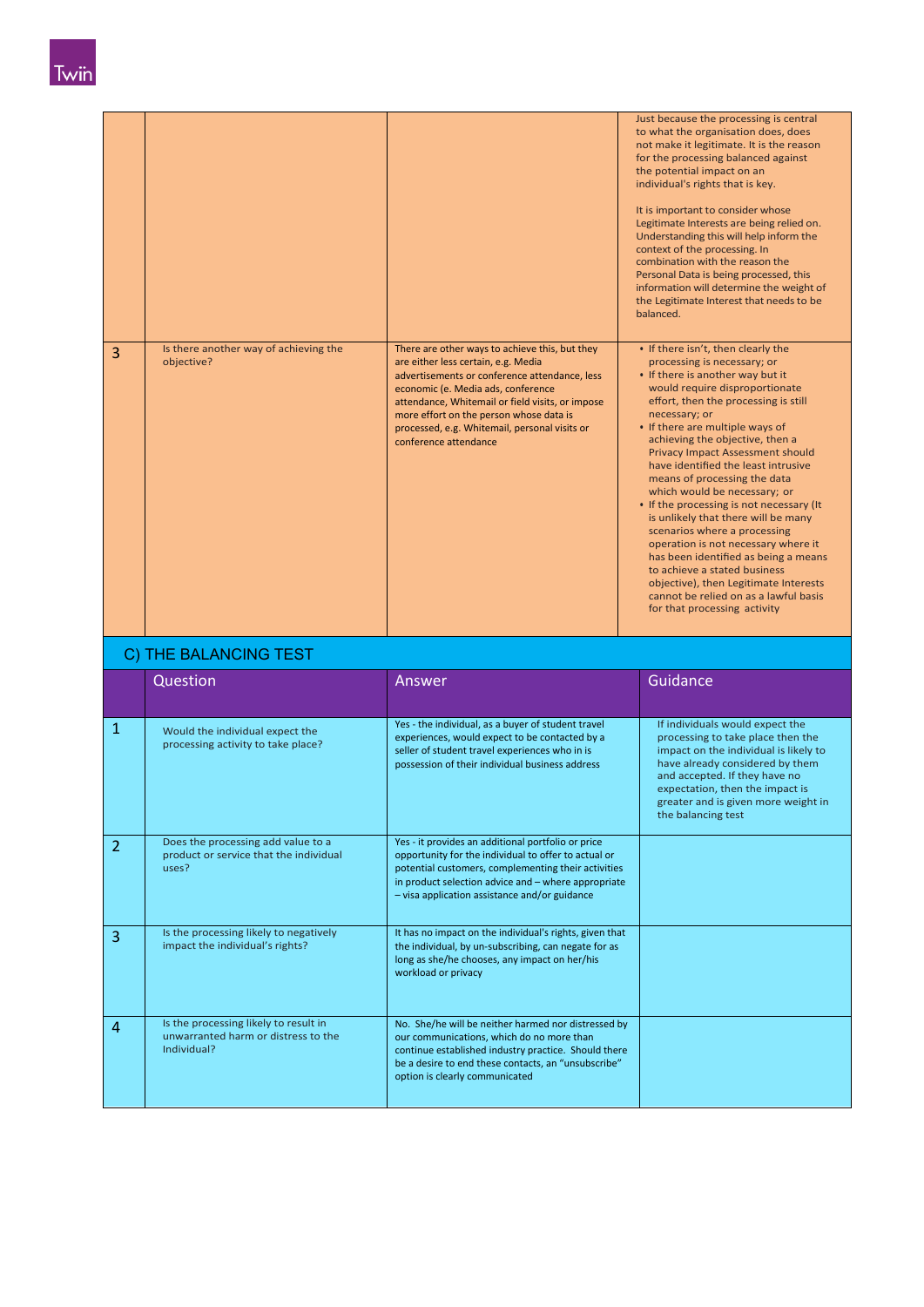| 3              | Is there another way of achieving the                                                 | There are other ways to achieve this, but they                                                                                                                                                                                                                                                      | Just because the processing is central<br>to what the organisation does, does<br>not make it legitimate. It is the reason<br>for the processing balanced against<br>the potential impact on an<br>individual's rights that is key.<br>It is important to consider whose<br>Legitimate Interests are being relied on.<br>Understanding this will help inform the<br>context of the processing. In<br>combination with the reason the<br>Personal Data is being processed, this<br>information will determine the weight of<br>the Legitimate Interest that needs to be<br>balanced.<br>. If there isn't, then clearly the                                                                                                        |
|----------------|---------------------------------------------------------------------------------------|-----------------------------------------------------------------------------------------------------------------------------------------------------------------------------------------------------------------------------------------------------------------------------------------------------|---------------------------------------------------------------------------------------------------------------------------------------------------------------------------------------------------------------------------------------------------------------------------------------------------------------------------------------------------------------------------------------------------------------------------------------------------------------------------------------------------------------------------------------------------------------------------------------------------------------------------------------------------------------------------------------------------------------------------------|
|                | objective?                                                                            | are either less certain, e.g. Media<br>advertisements or conference attendance, less<br>economic (e. Media ads, conference<br>attendance, Whitemail or field visits, or impose<br>more effort on the person whose data is<br>processed, e.g. Whitemail, personal visits or<br>conference attendance | processing is necessary; or<br>• If there is another way but it<br>would require disproportionate<br>effort, then the processing is still<br>necessary; or<br>• If there are multiple ways of<br>achieving the objective, then a<br>Privacy Impact Assessment should<br>have identified the least intrusive<br>means of processing the data<br>which would be necessary; or<br>• If the processing is not necessary (It<br>is unlikely that there will be many<br>scenarios where a processing<br>operation is not necessary where it<br>has been identified as being a means<br>to achieve a stated business<br>objective), then Legitimate Interests<br>cannot be relied on as a lawful basis<br>for that processing activity |
|                | C) THE BALANCING TEST                                                                 |                                                                                                                                                                                                                                                                                                     |                                                                                                                                                                                                                                                                                                                                                                                                                                                                                                                                                                                                                                                                                                                                 |
|                | Question                                                                              | Answer                                                                                                                                                                                                                                                                                              | Guidance                                                                                                                                                                                                                                                                                                                                                                                                                                                                                                                                                                                                                                                                                                                        |
| $\mathbf{1}$   | Would the individual expect the<br>processing activity to take place?                 | Yes - the individual, as a buyer of student travel<br>experiences, would expect to be contacted by a<br>seller of student travel experiences who in is<br>possession of their individual business address                                                                                           | If individuals would expect the<br>processing to take place then the<br>impact on the individual is likely to<br>have already considered by them<br>and accepted. If they have no<br>expectation, then the impact is<br>greater and is given more weight in<br>the balancing test                                                                                                                                                                                                                                                                                                                                                                                                                                               |
| $\overline{2}$ | Does the processing add value to a<br>product or service that the individual<br>uses? | Yes - it provides an additional portfolio or price<br>opportunity for the individual to offer to actual or<br>potential customers, complementing their activities<br>in product selection advice and - where appropriate<br>- visa application assistance and/or guidance                           |                                                                                                                                                                                                                                                                                                                                                                                                                                                                                                                                                                                                                                                                                                                                 |
| 3              | Is the processing likely to negatively<br>impact the individual's rights?             | It has no impact on the individual's rights, given that<br>the individual, by un-subscribing, can negate for as<br>long as she/he chooses, any impact on her/his<br>workload or privacy                                                                                                             |                                                                                                                                                                                                                                                                                                                                                                                                                                                                                                                                                                                                                                                                                                                                 |
|                |                                                                                       |                                                                                                                                                                                                                                                                                                     |                                                                                                                                                                                                                                                                                                                                                                                                                                                                                                                                                                                                                                                                                                                                 |

be a desire to end these contacts, an "unsubscribe"

option is clearly communicated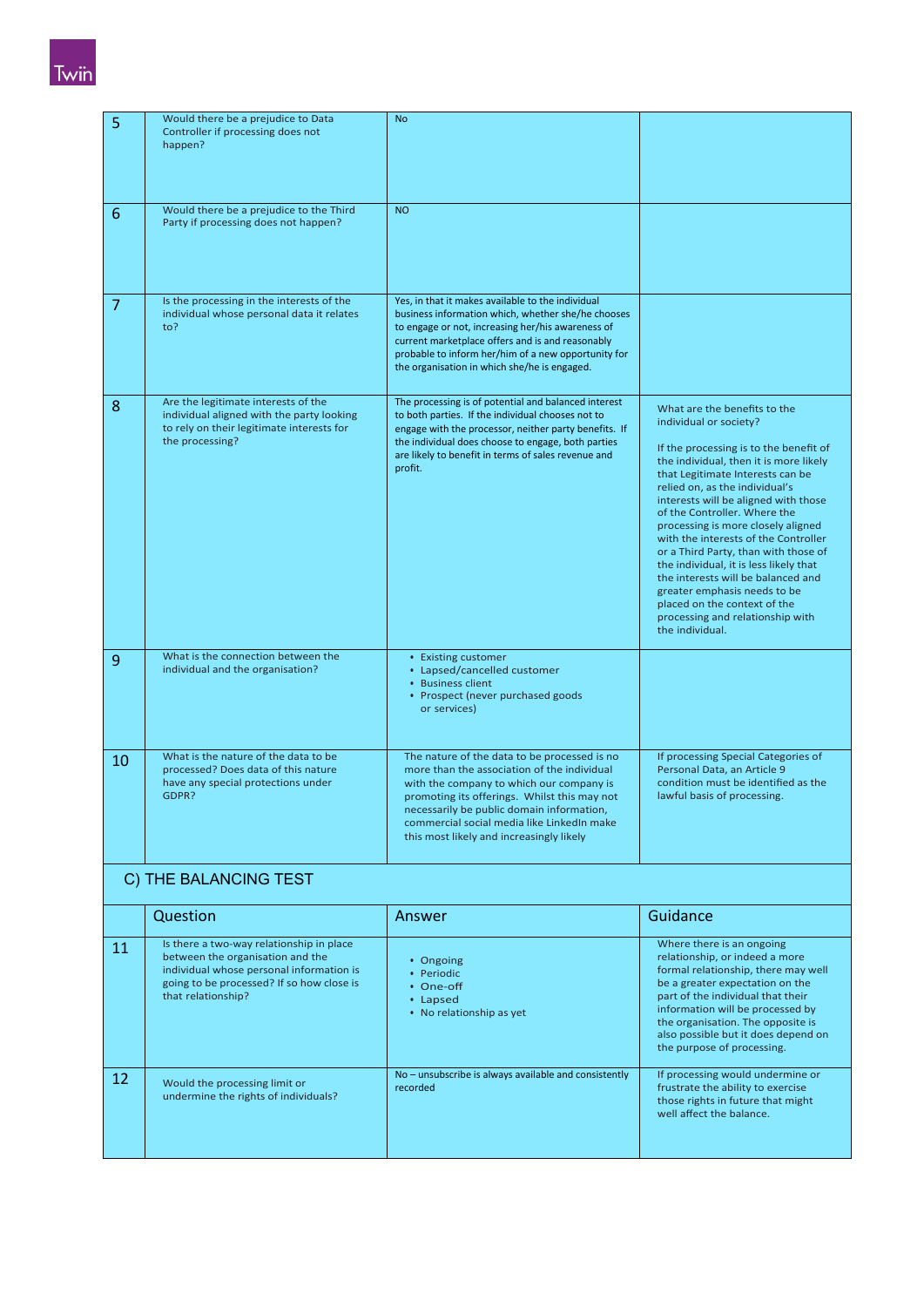

| 5  | Would there be a prejudice to Data<br>Controller if processing does not<br>happen?                                                                                                          | <b>No</b>                                                                                                                                                                                                                                                                                                                      |                                                                                                                                                                                                                                                                                                                                                                                                                                                                                                                                                                                                                       |  |  |
|----|---------------------------------------------------------------------------------------------------------------------------------------------------------------------------------------------|--------------------------------------------------------------------------------------------------------------------------------------------------------------------------------------------------------------------------------------------------------------------------------------------------------------------------------|-----------------------------------------------------------------------------------------------------------------------------------------------------------------------------------------------------------------------------------------------------------------------------------------------------------------------------------------------------------------------------------------------------------------------------------------------------------------------------------------------------------------------------------------------------------------------------------------------------------------------|--|--|
| 6  | Would there be a prejudice to the Third<br>Party if processing does not happen?                                                                                                             | <b>NO</b>                                                                                                                                                                                                                                                                                                                      |                                                                                                                                                                                                                                                                                                                                                                                                                                                                                                                                                                                                                       |  |  |
| 7  | Is the processing in the interests of the<br>individual whose personal data it relates<br>to?                                                                                               | Yes, in that it makes available to the individual<br>business information which, whether she/he chooses<br>to engage or not, increasing her/his awareness of<br>current marketplace offers and is and reasonably<br>probable to inform her/him of a new opportunity for<br>the organisation in which she/he is engaged.        |                                                                                                                                                                                                                                                                                                                                                                                                                                                                                                                                                                                                                       |  |  |
| 8  | Are the legitimate interests of the<br>individual aligned with the party looking<br>to rely on their legitimate interests for<br>the processing?                                            | The processing is of potential and balanced interest<br>to both parties. If the individual chooses not to<br>engage with the processor, neither party benefits. If<br>the individual does choose to engage, both parties<br>are likely to benefit in terms of sales revenue and<br>profit.                                     | What are the benefits to the<br>individual or society?<br>If the processing is to the benefit of<br>the individual, then it is more likely<br>that Legitimate Interests can be<br>relied on, as the individual's<br>interests will be aligned with those<br>of the Controller. Where the<br>processing is more closely aligned<br>with the interests of the Controller<br>or a Third Party, than with those of<br>the individual, it is less likely that<br>the interests will be balanced and<br>greater emphasis needs to be<br>placed on the context of the<br>processing and relationship with<br>the individual. |  |  |
| 9  | What is the connection between the<br>individual and the organisation?                                                                                                                      | • Existing customer<br>• Lapsed/cancelled customer<br>• Business client<br>• Prospect (never purchased goods<br>or services)                                                                                                                                                                                                   |                                                                                                                                                                                                                                                                                                                                                                                                                                                                                                                                                                                                                       |  |  |
| 10 | What is the nature of the data to be<br>processed? Does data of this nature<br>have any special protections under<br>GDPR?                                                                  | The nature of the data to be processed is no<br>more than the association of the individual<br>with the company to which our company is<br>promoting its offerings. Whilst this may not<br>necessarily be public domain information,<br>commercial social media like LinkedIn make<br>this most likely and increasingly likely | If processing Special Categories of<br>Personal Data, an Article 9<br>condition must be identified as the<br>lawful basis of processing.                                                                                                                                                                                                                                                                                                                                                                                                                                                                              |  |  |
|    | C) THE BALANCING TEST                                                                                                                                                                       |                                                                                                                                                                                                                                                                                                                                |                                                                                                                                                                                                                                                                                                                                                                                                                                                                                                                                                                                                                       |  |  |
|    | Question                                                                                                                                                                                    | Answer                                                                                                                                                                                                                                                                                                                         | Guidance                                                                                                                                                                                                                                                                                                                                                                                                                                                                                                                                                                                                              |  |  |
| 11 | Is there a two-way relationship in place<br>between the organisation and the<br>individual whose personal information is<br>going to be processed? If so how close is<br>that relationship? | • Ongoing<br>• Periodic<br>• One-off<br>• Lapsed<br>• No relationship as yet                                                                                                                                                                                                                                                   | Where there is an ongoing<br>relationship, or indeed a more<br>formal relationship, there may well<br>be a greater expectation on the<br>part of the individual that their<br>information will be processed by<br>the organisation. The opposite is<br>also possible but it does depend on<br>the purpose of processing.                                                                                                                                                                                                                                                                                              |  |  |
| 12 | Would the processing limit or<br>undermine the rights of individuals?                                                                                                                       | No - unsubscribe is always available and consistently<br>recorded                                                                                                                                                                                                                                                              | If processing would undermine or<br>frustrate the ability to exercise<br>those rights in future that might<br>well affect the balance.                                                                                                                                                                                                                                                                                                                                                                                                                                                                                |  |  |
|    |                                                                                                                                                                                             |                                                                                                                                                                                                                                                                                                                                |                                                                                                                                                                                                                                                                                                                                                                                                                                                                                                                                                                                                                       |  |  |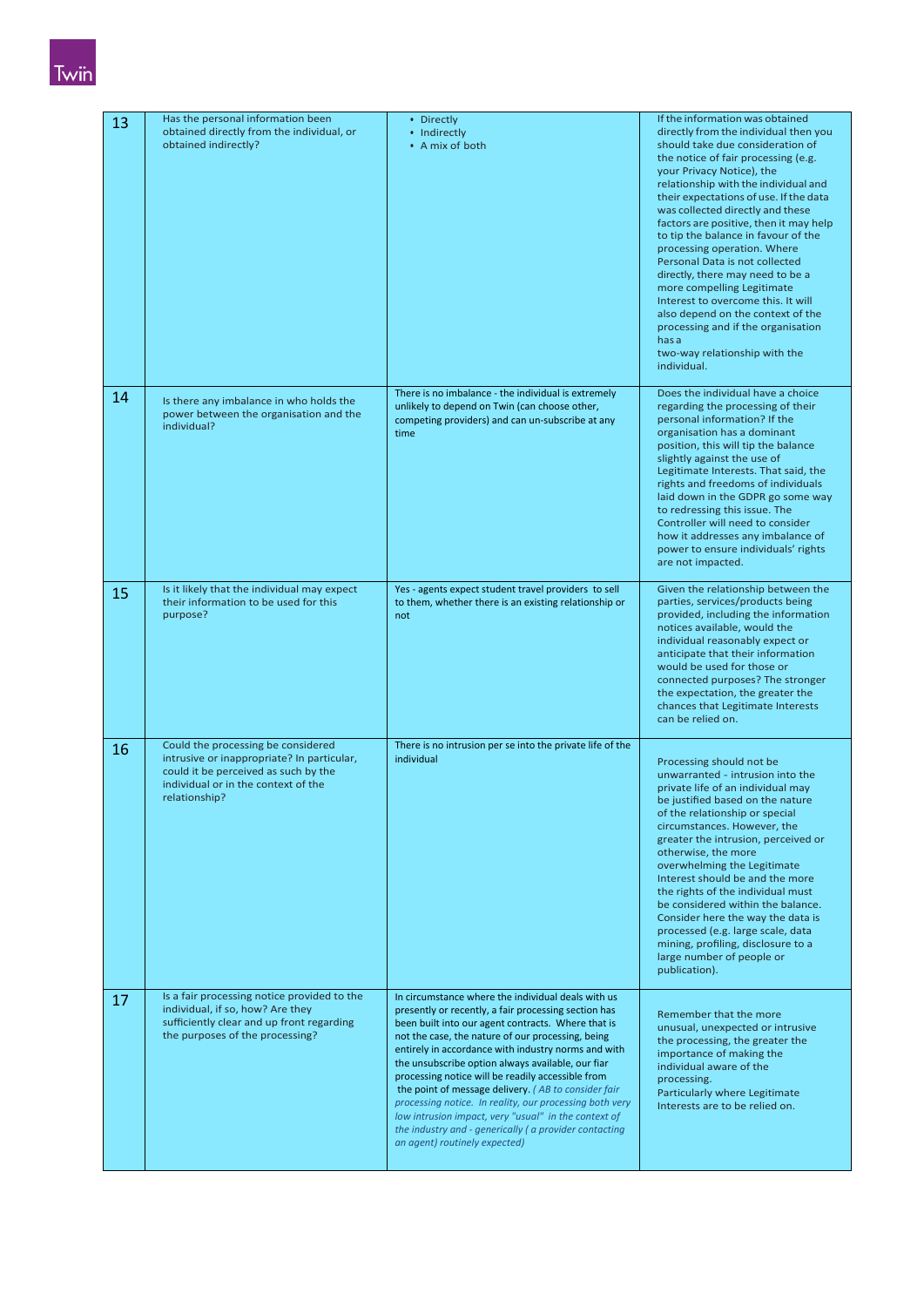# Twin

| 13 | Has the personal information been<br>obtained directly from the individual, or<br>obtained indirectly?                                                                           | • Directly<br>• Indirectly<br>• A mix of both                                                                                                                                                                                                                                                                                                                                                                                                                                                                                                                                                                                                              | If the information was obtained<br>directly from the individual then you<br>should take due consideration of<br>the notice of fair processing (e.g.<br>your Privacy Notice), the<br>relationship with the individual and<br>their expectations of use. If the data<br>was collected directly and these<br>factors are positive, then it may help<br>to tip the balance in favour of the<br>processing operation. Where<br>Personal Data is not collected<br>directly, there may need to be a<br>more compelling Legitimate<br>Interest to overcome this. It will<br>also depend on the context of the<br>processing and if the organisation<br>has a<br>two-way relationship with the<br>individual. |
|----|----------------------------------------------------------------------------------------------------------------------------------------------------------------------------------|------------------------------------------------------------------------------------------------------------------------------------------------------------------------------------------------------------------------------------------------------------------------------------------------------------------------------------------------------------------------------------------------------------------------------------------------------------------------------------------------------------------------------------------------------------------------------------------------------------------------------------------------------------|------------------------------------------------------------------------------------------------------------------------------------------------------------------------------------------------------------------------------------------------------------------------------------------------------------------------------------------------------------------------------------------------------------------------------------------------------------------------------------------------------------------------------------------------------------------------------------------------------------------------------------------------------------------------------------------------------|
| 14 | Is there any imbalance in who holds the<br>power between the organisation and the<br>individual?                                                                                 | There is no imbalance - the individual is extremely<br>unlikely to depend on Twin (can choose other,<br>competing providers) and can un-subscribe at any<br>time                                                                                                                                                                                                                                                                                                                                                                                                                                                                                           | Does the individual have a choice<br>regarding the processing of their<br>personal information? If the<br>organisation has a dominant<br>position, this will tip the balance<br>slightly against the use of<br>Legitimate Interests. That said, the<br>rights and freedoms of individuals<br>laid down in the GDPR go some way<br>to redressing this issue. The<br>Controller will need to consider<br>how it addresses any imbalance of<br>power to ensure individuals' rights<br>are not impacted.                                                                                                                                                                                                 |
| 15 | Is it likely that the individual may expect<br>their information to be used for this<br>purpose?                                                                                 | Yes - agents expect student travel providers to sell<br>to them, whether there is an existing relationship or<br>not                                                                                                                                                                                                                                                                                                                                                                                                                                                                                                                                       | Given the relationship between the<br>parties, services/products being<br>provided, including the information<br>notices available, would the<br>individual reasonably expect or<br>anticipate that their information<br>would be used for those or<br>connected purposes? The stronger<br>the expectation, the greater the<br>chances that Legitimate Interests<br>can be relied on.                                                                                                                                                                                                                                                                                                                |
| 16 | Could the processing be considered<br>intrusive or inappropriate? In particular,<br>could it be perceived as such by the<br>individual or in the context of the<br>relationship? | There is no intrusion per se into the private life of the<br>individual                                                                                                                                                                                                                                                                                                                                                                                                                                                                                                                                                                                    | Processing should not be<br>unwarranted - intrusion into the<br>private life of an individual may<br>be justified based on the nature<br>of the relationship or special<br>circumstances. However, the<br>greater the intrusion, perceived or<br>otherwise, the more<br>overwhelming the Legitimate<br>Interest should be and the more<br>the rights of the individual must<br>be considered within the balance.<br>Consider here the way the data is<br>processed (e.g. large scale, data<br>mining, profiling, disclosure to a<br>large number of people or<br>publication).                                                                                                                       |
| 17 | Is a fair processing notice provided to the<br>individual, if so, how? Are they<br>sufficiently clear and up front regarding<br>the purposes of the processing?                  | In circumstance where the individual deals with us<br>presently or recently, a fair processing section has<br>been built into our agent contracts. Where that is<br>not the case, the nature of our processing, being<br>entirely in accordance with industry norms and with<br>the unsubscribe option always available, our fiar<br>processing notice will be readily accessible from<br>the point of message delivery. (AB to consider fair<br>processing notice. In reality, our processing both very<br>low intrusion impact, very "usual" in the context of<br>the industry and - generically (a provider contacting<br>an agent) routinely expected) | Remember that the more<br>unusual, unexpected or intrusive<br>the processing, the greater the<br>importance of making the<br>individual aware of the<br>processing.<br>Particularly where Legitimate<br>Interests are to be relied on.                                                                                                                                                                                                                                                                                                                                                                                                                                                               |